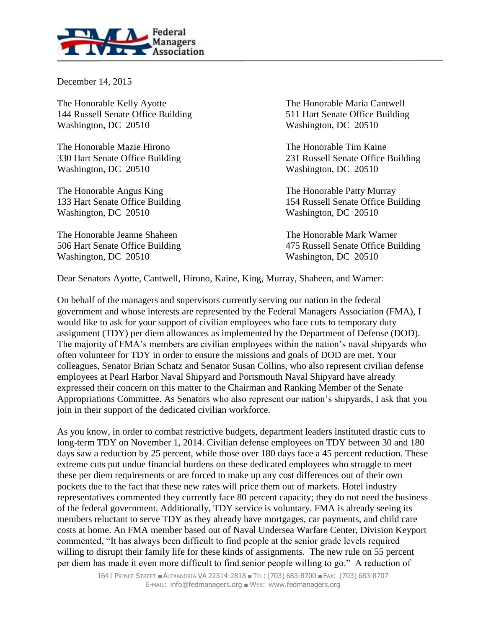

December 14, 2015

The Honorable Kelly Ayotte The Honorable Maria Cantwell 144 Russell Senate Office Building 511 Hart Senate Office Building Washington, DC 20510 Washington, DC 20510

The Honorable Mazie Hirono The Honorable Tim Kaine Washington, DC 20510 Washington, DC 20510

The Honorable Angus King The Honorable Patty Murray Washington, DC 20510 Washington, DC 20510

The Honorable Jeanne Shaheen The Honorable Mark Warner Washington, DC 20510 Washington, DC 20510

330 Hart Senate Office Building 231 Russell Senate Office Building

133 Hart Senate Office Building 154 Russell Senate Office Building

506 Hart Senate Office Building 475 Russell Senate Office Building

Dear Senators Ayotte, Cantwell, Hirono, Kaine, King, Murray, Shaheen, and Warner:

On behalf of the managers and supervisors currently serving our nation in the federal government and whose interests are represented by the Federal Managers Association (FMA), I would like to ask for your support of civilian employees who face cuts to temporary duty assignment (TDY) per diem allowances as implemented by the Department of Defense (DOD). The majority of FMA's members are civilian employees within the nation's naval shipyards who often volunteer for TDY in order to ensure the missions and goals of DOD are met. Your colleagues, Senator Brian Schatz and Senator Susan Collins, who also represent civilian defense employees at Pearl Harbor Naval Shipyard and Portsmouth Naval Shipyard have already expressed their concern on this matter to the Chairman and Ranking Member of the Senate Appropriations Committee. As Senators who also represent our nation's shipyards, I ask that you join in their support of the dedicated civilian workforce.

As you know, in order to combat restrictive budgets, department leaders instituted drastic cuts to long-term TDY on November 1, 2014. Civilian defense employees on TDY between 30 and 180 days saw a reduction by 25 percent, while those over 180 days face a 45 percent reduction. These extreme cuts put undue financial burdens on these dedicated employees who struggle to meet these per diem requirements or are forced to make up any cost differences out of their own pockets due to the fact that these new rates will price them out of markets. Hotel industry representatives commented they currently face 80 percent capacity; they do not need the business of the federal government. Additionally, TDY service is voluntary. FMA is already seeing its members reluctant to serve TDY as they already have mortgages, car payments, and child care costs at home. An FMA member based out of Naval Undersea Warfare Center, Division Keyport commented, "It has always been difficult to find people at the senior grade levels required willing to disrupt their family life for these kinds of assignments. The new rule on 55 percent per diem has made it even more difficult to find senior people willing to go." A reduction of